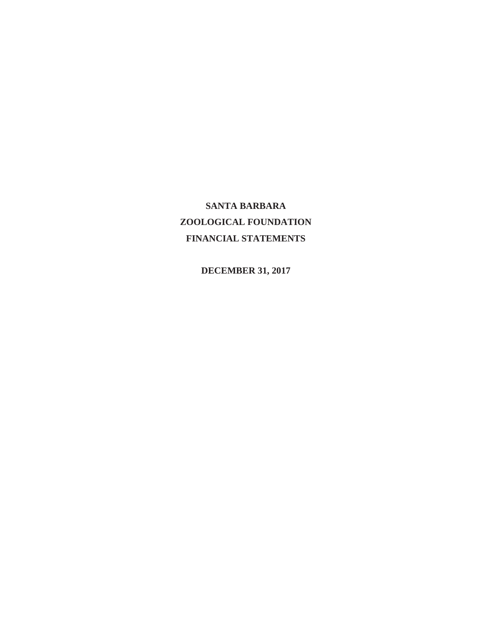# **SANTA BARBARA ZOOLOGICAL FOUNDATION FINANCIAL STATEMENTS**

 **DECEMBER 31, 2017**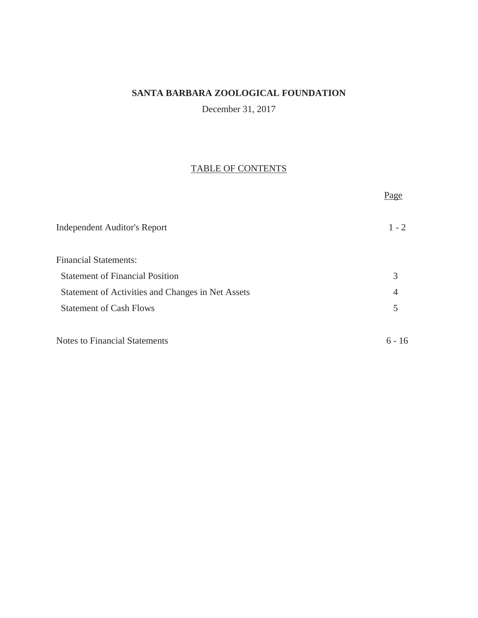December 31, 2017

# TABLE OF CONTENTS

|                                                   | Page           |
|---------------------------------------------------|----------------|
| <b>Independent Auditor's Report</b>               | $1 - 2$        |
| <b>Financial Statements:</b>                      |                |
| <b>Statement of Financial Position</b>            | 3              |
| Statement of Activities and Changes in Net Assets | $\overline{4}$ |
| <b>Statement of Cash Flows</b>                    | 5              |
| <b>Notes to Financial Statements</b>              | $6 - 16$       |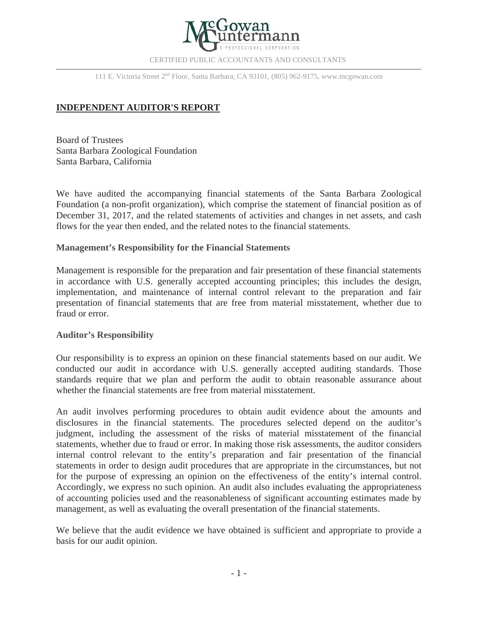

CERTIFIED PUBLIC ACCOUNTANTS AND CONSULTANTS

111 E. Victoria Street 2nd Floor, Santa Barbara, CA 93101, (805) 962-9175, www.mcgowan.com

# **INDEPENDENT AUDITOR'S REPORT**

Board of Trustees Santa Barbara Zoological Foundation Santa Barbara, California

We have audited the accompanying financial statements of the Santa Barbara Zoological Foundation (a non-profit organization), which comprise the statement of financial position as of December 31, 2017, and the related statements of activities and changes in net assets, and cash flows for the year then ended, and the related notes to the financial statements.

### **Management's Responsibility for the Financial Statements**

Management is responsible for the preparation and fair presentation of these financial statements in accordance with U.S. generally accepted accounting principles; this includes the design, implementation, and maintenance of internal control relevant to the preparation and fair presentation of financial statements that are free from material misstatement, whether due to fraud or error.

### **Auditor's Responsibility**

Our responsibility is to express an opinion on these financial statements based on our audit. We conducted our audit in accordance with U.S. generally accepted auditing standards. Those standards require that we plan and perform the audit to obtain reasonable assurance about whether the financial statements are free from material misstatement.

An audit involves performing procedures to obtain audit evidence about the amounts and disclosures in the financial statements. The procedures selected depend on the auditor's judgment, including the assessment of the risks of material misstatement of the financial statements, whether due to fraud or error. In making those risk assessments, the auditor considers internal control relevant to the entity's preparation and fair presentation of the financial statements in order to design audit procedures that are appropriate in the circumstances, but not for the purpose of expressing an opinion on the effectiveness of the entity's internal control. Accordingly, we express no such opinion. An audit also includes evaluating the appropriateness of accounting policies used and the reasonableness of significant accounting estimates made by management, as well as evaluating the overall presentation of the financial statements.

We believe that the audit evidence we have obtained is sufficient and appropriate to provide a basis for our audit opinion.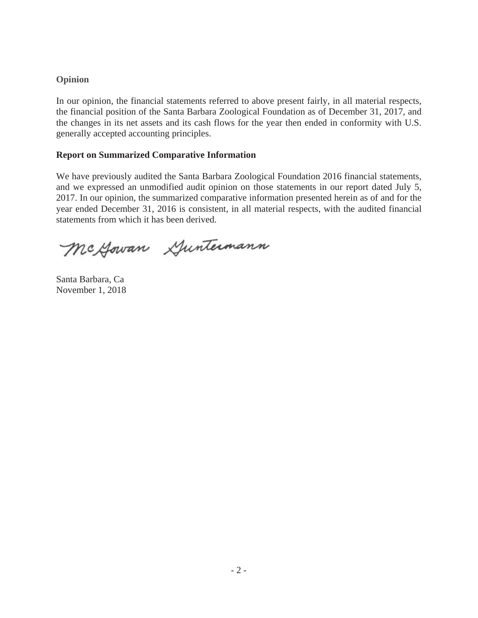# **Opinion**

In our opinion, the financial statements referred to above present fairly, in all material respects, the financial position of the Santa Barbara Zoological Foundation as of December 31, 2017, and the changes in its net assets and its cash flows for the year then ended in conformity with U.S. generally accepted accounting principles.

# **Report on Summarized Comparative Information**

We have previously audited the Santa Barbara Zoological Foundation 2016 financial statements, and we expressed an unmodified audit opinion on those statements in our report dated July 5, 2017. In our opinion, the summarized comparative information presented herein as of and for the year ended December 31, 2016 is consistent, in all material respects, with the audited financial statements from which it has been derived.

Mc Gowan Guntermann

Santa Barbara, Ca November 1, 2018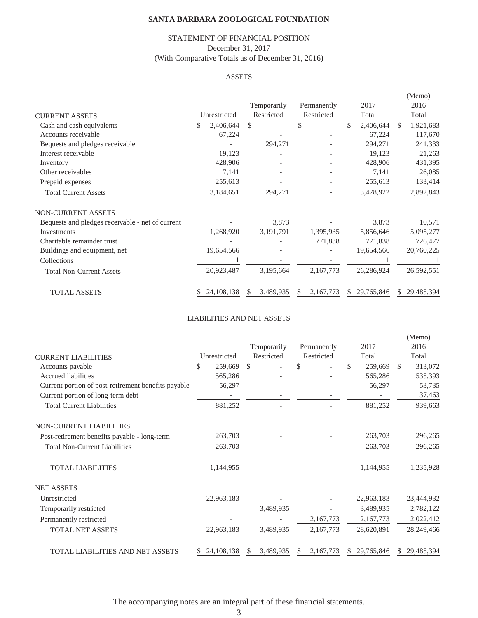#### STATEMENT OF FINANCIAL POSITION (With Comparative Totals as of December 31, 2016) December 31, 2017

#### ASSETS

|                                                  |                 |    |             |    |                          |               |            |               | (Memo)     |
|--------------------------------------------------|-----------------|----|-------------|----|--------------------------|---------------|------------|---------------|------------|
|                                                  |                 |    | Temporarily |    | Permanently              |               | 2017       |               | 2016       |
| <b>CURRENT ASSETS</b>                            | Unrestricted    |    | Restricted  |    | Restricted               |               | Total      |               | Total      |
| Cash and cash equivalents                        | \$<br>2,406,644 | \$ |             | \$ | $\overline{\phantom{a}}$ | $\mathcal{S}$ | 2,406,644  | $\mathcal{S}$ | 1,921,683  |
| Accounts receivable                              | 67,224          |    |             |    |                          |               | 67,224     |               | 117,670    |
| Bequests and pledges receivable                  |                 |    | 294,271     |    |                          |               | 294,271    |               | 241,333    |
| Interest receivable                              | 19,123          |    |             |    |                          |               | 19,123     |               | 21,263     |
| Inventory                                        | 428,906         |    |             |    |                          |               | 428,906    |               | 431,395    |
| Other receivables                                | 7,141           |    |             |    |                          |               | 7,141      |               | 26,085     |
| Prepaid expenses                                 | 255,613         |    |             |    |                          |               | 255,613    |               | 133,414    |
| <b>Total Current Assets</b>                      | 3,184,651       |    | 294,271     |    |                          |               | 3,478,922  |               | 2,892,843  |
| NON-CURRENT ASSETS                               |                 |    |             |    |                          |               |            |               |            |
| Bequests and pledges receivable - net of current |                 |    | 3,873       |    |                          |               | 3,873      |               | 10,571     |
| Investments                                      | 1,268,920       |    | 3,191,791   |    | 1,395,935                |               | 5,856,646  |               | 5,095,277  |
| Charitable remainder trust                       |                 |    |             |    | 771,838                  |               | 771,838    |               | 726,477    |
| Buildings and equipment, net                     | 19,654,566      |    |             |    |                          |               | 19,654,566 |               | 20,760,225 |
| Collections                                      |                 |    |             |    |                          |               |            |               |            |
| <b>Total Non-Current Assets</b>                  | 20,923,487      |    | 3,195,664   |    | 2,167,773                |               | 26,286,924 |               | 26,592,551 |
| <b>TOTAL ASSETS</b>                              | 24, 108, 138    | S  | 3,489,935   | S  | 2,167,773                | S.            | 29,765,846 | S.            | 29,485,394 |

#### LIABILITIES AND NET ASSETS

|                                                     |              |             |             |    |            |               | (Memo)       |
|-----------------------------------------------------|--------------|-------------|-------------|----|------------|---------------|--------------|
|                                                     |              | Temporarily | Permanently |    | 2017       |               | 2016         |
| <b>CURRENT LIABILITIES</b>                          | Unrestricted | Restricted  | Restricted  |    | Total      |               | Total        |
| Accounts payable                                    | 259,669      | \$          | \$          | \$ | 259,669    | <sup>\$</sup> | 313,072      |
| <b>Accrued liabilities</b>                          | 565,286      |             |             |    | 565,286    |               | 535,393      |
| Current portion of post-retirement benefits payable | 56,297       |             |             |    | 56,297     |               | 53,735       |
| Current portion of long-term debt                   |              |             |             |    |            |               | 37,463       |
| <b>Total Current Liabilities</b>                    | 881,252      |             |             |    | 881,252    |               | 939,663      |
| <b>NON-CURRENT LIABILITIES</b>                      |              |             |             |    |            |               |              |
| Post-retirement benefits payable - long-term        | 263,703      |             |             |    | 263,703    |               | 296,265      |
| <b>Total Non-Current Liabilities</b>                | 263,703      |             |             |    | 263,703    |               | 296,265      |
| <b>TOTAL LIABILITIES</b>                            | 1,144,955    |             |             |    | 1,144,955  |               | 1,235,928    |
| <b>NET ASSETS</b>                                   |              |             |             |    |            |               |              |
| Unrestricted                                        | 22,963,183   |             |             |    | 22,963,183 |               | 23,444,932   |
| Temporarily restricted                              |              | 3,489,935   |             |    | 3,489,935  |               | 2,782,122    |
| Permanently restricted                              |              |             | 2,167,773   |    | 2,167,773  |               | 2,022,412    |
| <b>TOTAL NET ASSETS</b>                             | 22,963,183   | 3,489,935   | 2,167,773   |    | 28,620,891 |               | 28, 249, 466 |
| <b>TOTAL LIABILITIES AND NET ASSETS</b>             | 24, 108, 138 | 3,489,935   | 2,167,773   | S. | 29,765,846 |               | 29,485,394   |

The accompanying notes are an integral part of these financial statements.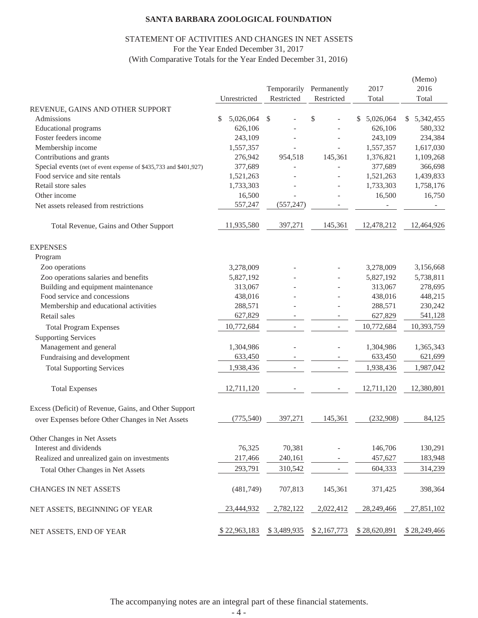# STATEMENT OF ACTIVITIES AND CHANGES IN NET ASSETS For the Year Ended December 31, 2017

(With Comparative Totals for the Year Ended December 31, 2016)

|                                                                  |                 |              |                          |              | (Memo)                    |
|------------------------------------------------------------------|-----------------|--------------|--------------------------|--------------|---------------------------|
|                                                                  |                 | Temporarily  | Permanently              | 2017         | 2016                      |
|                                                                  | Unrestricted    | Restricted   | Restricted               | Total        | Total                     |
| REVENUE, GAINS AND OTHER SUPPORT                                 |                 |              |                          |              |                           |
| Admissions                                                       | 5,026,064<br>\$ | $\mathbb{S}$ | \$                       | \$5,026,064  | 5,342,455<br>$\mathbb{S}$ |
| <b>Educational programs</b>                                      | 626,106         |              |                          | 626,106      | 580,332                   |
| Foster feeders income                                            | 243,109         |              |                          | 243,109      | 234,384                   |
| Membership income                                                | 1,557,357       |              |                          | 1,557,357    | 1,617,030                 |
| Contributions and grants                                         | 276,942         | 954,518      | 145,361                  | 1,376,821    | 1,109,268                 |
| Special events (net of event expense of \$435,733 and \$401,927) | 377,689         |              |                          | 377,689      | 366,698                   |
| Food service and site rentals                                    | 1,521,263       |              |                          | 1,521,263    | 1,439,833                 |
| Retail store sales                                               | 1,733,303       |              |                          | 1,733,303    | 1,758,176                 |
| Other income                                                     | 16,500          |              |                          | 16,500       | 16,750                    |
| Net assets released from restrictions                            | 557,247         | (557, 247)   |                          |              |                           |
| Total Revenue, Gains and Other Support                           | 11,935,580      | 397,271      | 145,361                  | 12,478,212   | 12,464,926                |
| <b>EXPENSES</b>                                                  |                 |              |                          |              |                           |
| Program                                                          |                 |              |                          |              |                           |
| Zoo operations                                                   | 3,278,009       |              |                          | 3,278,009    | 3,156,668                 |
| Zoo operations salaries and benefits                             | 5,827,192       |              |                          | 5,827,192    | 5,738,811                 |
| Building and equipment maintenance                               | 313,067         |              |                          | 313,067      | 278,695                   |
| Food service and concessions                                     | 438,016         |              |                          | 438,016      | 448,215                   |
| Membership and educational activities                            | 288,571         |              |                          | 288,571      | 230,242                   |
| Retail sales                                                     | 627,829         |              | $\overline{\phantom{a}}$ | 627,829      | 541,128                   |
| <b>Total Program Expenses</b>                                    | 10,772,684      |              |                          | 10,772,684   | 10,393,759                |
| <b>Supporting Services</b>                                       |                 |              |                          |              |                           |
| Management and general                                           | 1,304,986       |              | $\overline{a}$           | 1,304,986    | 1,365,343                 |
| Fundraising and development                                      | 633,450         |              |                          | 633,450      | 621,699                   |
|                                                                  |                 |              |                          |              |                           |
| <b>Total Supporting Services</b>                                 | 1,938,436       |              | $\overline{\phantom{a}}$ | 1,938,436    | 1,987,042                 |
| <b>Total Expenses</b>                                            | 12,711,120      |              |                          | 12,711,120   | 12,380,801                |
| Excess (Deficit) of Revenue, Gains, and Other Support            |                 |              |                          |              |                           |
| over Expenses before Other Changes in Net Assets                 | (775, 540)      | 397,271      | 145,361                  | (232,908)    | 84,125                    |
| Other Changes in Net Assets                                      |                 |              |                          |              |                           |
| Interest and dividends                                           | 76,325          | 70,381       |                          | 146,706      | 130,291                   |
| Realized and unrealized gain on investments                      | 217,466         | 240,161      |                          | 457,627      | 183,948                   |
| Total Other Changes in Net Assets                                | 293,791         | 310,542      |                          | 604,333      | 314,239                   |
| <b>CHANGES IN NET ASSETS</b>                                     | (481,749)       | 707,813      | 145,361                  | 371,425      | 398,364                   |
| NET ASSETS, BEGINNING OF YEAR                                    | 23,444,932      | 2,782,122    | 2,022,412                | 28,249,466   | 27,851,102                |
| NET ASSETS, END OF YEAR                                          | \$22,963,183    | \$3,489,935  | \$2,167,773              | \$28,620,891 | \$28,249,466              |

The accompanying notes are an integral part of these financial statements.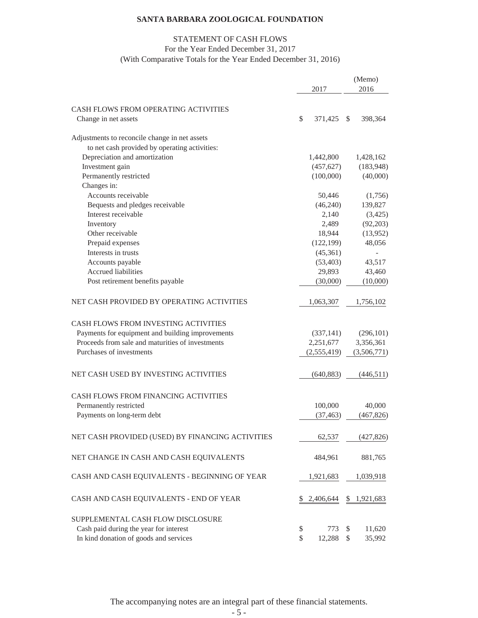# STATEMENT OF CASH FLOWS

#### For the Year Ended December 31, 2017

(With Comparative Totals for the Year Ended December 31, 2016)

|                                                  | 2017          |    | (Memo)<br>2016 |
|--------------------------------------------------|---------------|----|----------------|
|                                                  |               |    |                |
| <b>CASH FLOWS FROM OPERATING ACTIVITIES</b>      |               |    |                |
| Change in net assets                             | \$<br>371,425 | S. | 398,364        |
| Adjustments to reconcile change in net assets    |               |    |                |
| to net cash provided by operating activities:    |               |    |                |
| Depreciation and amortization                    | 1,442,800     |    | 1,428,162      |
| Investment gain                                  | (457, 627)    |    | (183, 948)     |
| Permanently restricted                           | (100,000)     |    | (40,000)       |
| Changes in:                                      |               |    |                |
| Accounts receivable                              | 50,446        |    | (1,756)        |
| Bequests and pledges receivable                  | (46,240)      |    | 139,827        |
| Interest receivable                              | 2,140         |    | (3,425)        |
| Inventory                                        | 2,489         |    | (92,203)       |
| Other receivable                                 | 18,944        |    | (13,952)       |
| Prepaid expenses                                 | (122, 199)    |    | 48,056         |
| Interests in trusts                              | (45,361)      |    |                |
| Accounts payable                                 | (53, 403)     |    | 43.517         |
| <b>Accrued liabilities</b>                       | 29,893        |    | 43,460         |
| Post retirement benefits payable                 | (30,000)      |    | (10,000)       |
| NET CASH PROVIDED BY OPERATING ACTIVITIES        | 1,063,307     |    | 1,756,102      |
| CASH FLOWS FROM INVESTING ACTIVITIES             |               |    |                |
| Payments for equipment and building improvements | (337, 141)    |    | (296, 101)     |
| Proceeds from sale and maturities of investments | 2,251,677     |    | 3,356,361      |
| Purchases of investments                         | (2,555,419)   |    | (3,506,771)    |
|                                                  |               |    |                |
| NET CASH USED BY INVESTING ACTIVITIES            | (640, 883)    |    | (446,511)      |
| <b>CASH FLOWS FROM FINANCING ACTIVITIES</b>      |               |    |                |
| Permanently restricted                           | 100,000       |    | 40,000         |
| Payments on long-term debt                       | (37, 463)     |    | (467, 826)     |
|                                                  |               |    |                |
| NET CASH PROVIDED (USED) BY FINANCING ACTIVITIES | 62,537        |    | (427, 826)     |
| NET CHANGE IN CASH AND CASH EQUIVALENTS          | 484,961       |    | 881,765        |
| CASH AND CASH EQUIVALENTS - BEGINNING OF YEAR    | 1,921,683     |    | 1,039,918      |
| CASH AND CASH EQUIVALENTS - END OF YEAR          | 2,406,644     | S  | 1,921,683      |
| SUPPLEMENTAL CASH FLOW DISCLOSURE                |               |    |                |
| Cash paid during the year for interest           | \$<br>773     | S  | 11,620         |
| In kind donation of goods and services           | \$<br>12,288  | \$ | 35,992         |

The accompanying notes are an integral part of these financial statements.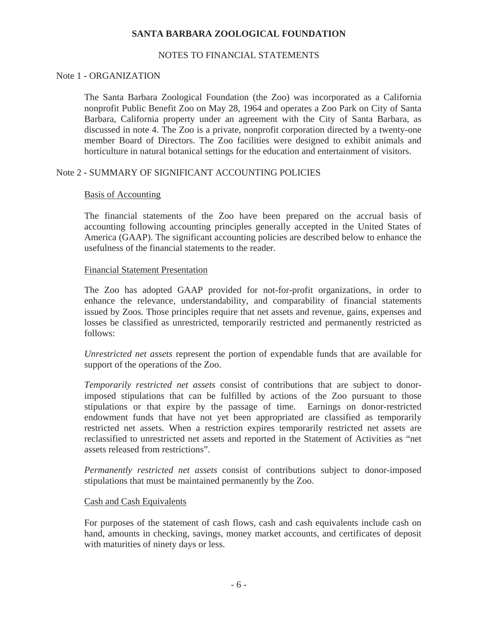#### NOTES TO FINANCIAL STATEMENTS

#### Note 1 **-** ORGANIZATION

The Santa Barbara Zoological Foundation (the Zoo) was incorporated as a California nonprofit Public Benefit Zoo on May 28, 1964 and operates a Zoo Park on City of Santa Barbara, California property under an agreement with the City of Santa Barbara, as discussed in note 4. The Zoo is a private, nonprofit corporation directed by a twenty-one member Board of Directors. The Zoo facilities were designed to exhibit animals and horticulture in natural botanical settings for the education and entertainment of visitors.

# Note 2 **-** SUMMARY OF SIGNIFICANT ACCOUNTING POLICIES

#### Basis of Accounting

The financial statements of the Zoo have been prepared on the accrual basis of accounting following accounting principles generally accepted in the United States of America (GAAP). The significant accounting policies are described below to enhance the usefulness of the financial statements to the reader.

#### Financial Statement Presentation

The Zoo has adopted GAAP provided for not-for-profit organizations, in order to enhance the relevance, understandability, and comparability of financial statements issued by Zoos. Those principles require that net assets and revenue, gains, expenses and losses be classified as unrestricted, temporarily restricted and permanently restricted as follows:

*Unrestricted net assets* represent the portion of expendable funds that are available for support of the operations of the Zoo.

*Temporarily restricted net assets* consist of contributions that are subject to donorimposed stipulations that can be fulfilled by actions of the Zoo pursuant to those stipulations or that expire by the passage of time. Earnings on donor-restricted endowment funds that have not yet been appropriated are classified as temporarily restricted net assets. When a restriction expires temporarily restricted net assets are reclassified to unrestricted net assets and reported in the Statement of Activities as "net assets released from restrictions".

*Permanently restricted net assets* consist of contributions subject to donor-imposed stipulations that must be maintained permanently by the Zoo.

#### Cash and Cash Equivalents

For purposes of the statement of cash flows, cash and cash equivalents include cash on hand, amounts in checking, savings, money market accounts, and certificates of deposit with maturities of ninety days or less.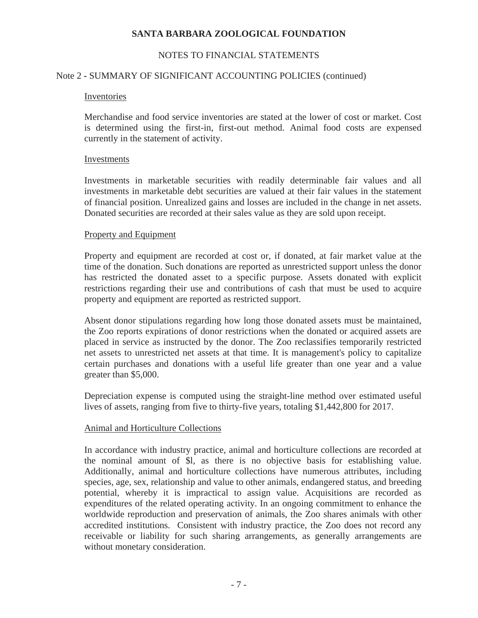# NOTES TO FINANCIAL STATEMENTS

### Note 2 **-** SUMMARY OF SIGNIFICANT ACCOUNTING POLICIES (continued)

#### Inventories

Merchandise and food service inventories are stated at the lower of cost or market. Cost is determined using the first-in, first-out method. Animal food costs are expensed currently in the statement of activity.

#### Investments

Investments in marketable securities with readily determinable fair values and all investments in marketable debt securities are valued at their fair values in the statement of financial position. Unrealized gains and losses are included in the change in net assets. Donated securities are recorded at their sales value as they are sold upon receipt.

#### Property and Equipment

Property and equipment are recorded at cost or, if donated, at fair market value at the time of the donation. Such donations are reported as unrestricted support unless the donor has restricted the donated asset to a specific purpose. Assets donated with explicit restrictions regarding their use and contributions of cash that must be used to acquire property and equipment are reported as restricted support.

Absent donor stipulations regarding how long those donated assets must be maintained, the Zoo reports expirations of donor restrictions when the donated or acquired assets are placed in service as instructed by the donor. The Zoo reclassifies temporarily restricted net assets to unrestricted net assets at that time. It is management's policy to capitalize certain purchases and donations with a useful life greater than one year and a value greater than \$5,000.

Depreciation expense is computed using the straight-line method over estimated useful lives of assets, ranging from five to thirty-five years, totaling \$1,442,800 for 2017.

### Animal and Horticulture Collections

In accordance with industry practice, animal and horticulture collections are recorded at the nominal amount of \$l, as there is no objective basis for establishing value. Additionally, animal and horticulture collections have numerous attributes, including species, age, sex, relationship and value to other animals, endangered status, and breeding potential, whereby it is impractical to assign value. Acquisitions are recorded as expenditures of the related operating activity. In an ongoing commitment to enhance the worldwide reproduction and preservation of animals, the Zoo shares animals with other accredited institutions. Consistent with industry practice, the Zoo does not record any receivable or liability for such sharing arrangements, as generally arrangements are without monetary consideration.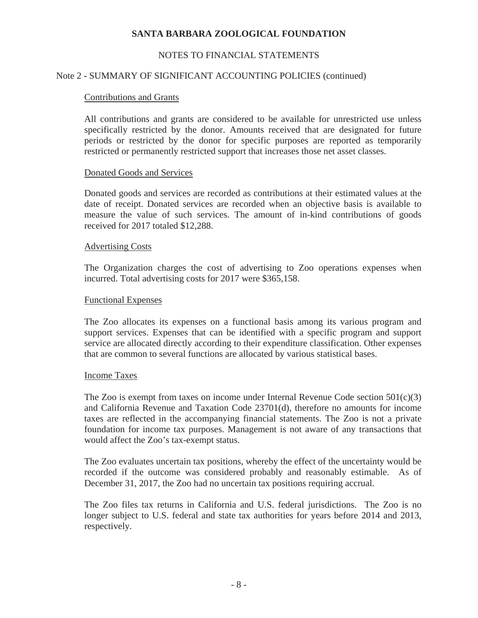# NOTES TO FINANCIAL STATEMENTS

### Note 2 **-** SUMMARY OF SIGNIFICANT ACCOUNTING POLICIES (continued)

#### Contributions and Grants

All contributions and grants are considered to be available for unrestricted use unless specifically restricted by the donor. Amounts received that are designated for future periods or restricted by the donor for specific purposes are reported as temporarily restricted or permanently restricted support that increases those net asset classes.

#### Donated Goods and Services

Donated goods and services are recorded as contributions at their estimated values at the date of receipt. Donated services are recorded when an objective basis is available to measure the value of such services. The amount of in-kind contributions of goods received for 2017 totaled \$12,288.

#### Advertising Costs

The Organization charges the cost of advertising to Zoo operations expenses when incurred. Total advertising costs for 2017 were \$365,158.

#### Functional Expenses

The Zoo allocates its expenses on a functional basis among its various program and support services. Expenses that can be identified with a specific program and support service are allocated directly according to their expenditure classification. Other expenses that are common to several functions are allocated by various statistical bases.

#### Income Taxes

The Zoo is exempt from taxes on income under Internal Revenue Code section  $501(c)(3)$ and California Revenue and Taxation Code 23701(d), therefore no amounts for income taxes are reflected in the accompanying financial statements. The Zoo is not a private foundation for income tax purposes. Management is not aware of any transactions that would affect the Zoo's tax-exempt status.

The Zoo evaluates uncertain tax positions, whereby the effect of the uncertainty would be recorded if the outcome was considered probably and reasonably estimable. As of December 31, 2017, the Zoo had no uncertain tax positions requiring accrual.

The Zoo files tax returns in California and U.S. federal jurisdictions. The Zoo is no longer subject to U.S. federal and state tax authorities for years before 2014 and 2013, respectively.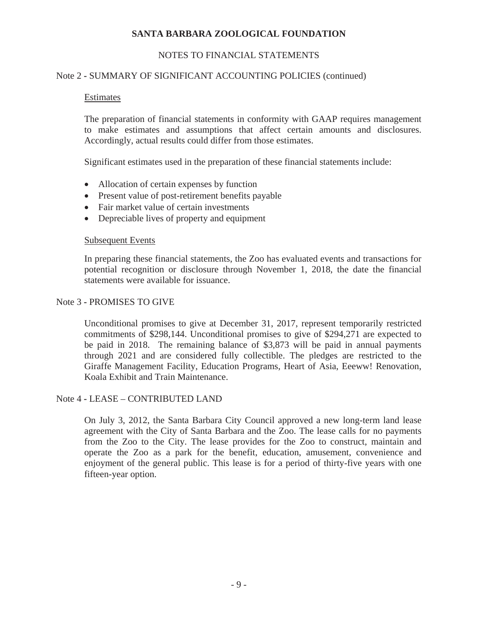# NOTES TO FINANCIAL STATEMENTS

### Note 2 **-** SUMMARY OF SIGNIFICANT ACCOUNTING POLICIES (continued)

### Estimates

The preparation of financial statements in conformity with GAAP requires management to make estimates and assumptions that affect certain amounts and disclosures. Accordingly, actual results could differ from those estimates.

Significant estimates used in the preparation of these financial statements include:

- Allocation of certain expenses by function
- Present value of post-retirement benefits payable
- Fair market value of certain investments
- Depreciable lives of property and equipment

### **Subsequent Events**

In preparing these financial statements, the Zoo has evaluated events and transactions for potential recognition or disclosure through November 1, 2018, the date the financial statements were available for issuance.

### Note 3 **-** PROMISES TO GIVE

Unconditional promises to give at December 31, 2017, represent temporarily restricted commitments of \$298,144. Unconditional promises to give of \$294,271 are expected to be paid in 2018. The remaining balance of \$3,873 will be paid in annual payments through 2021 and are considered fully collectible. The pledges are restricted to the Giraffe Management Facility, Education Programs, Heart of Asia, Eeeww! Renovation, Koala Exhibit and Train Maintenance.

### Note 4 **-** LEASE – CONTRIBUTED LAND

On July 3, 2012, the Santa Barbara City Council approved a new long-term land lease agreement with the City of Santa Barbara and the Zoo. The lease calls for no payments from the Zoo to the City. The lease provides for the Zoo to construct, maintain and operate the Zoo as a park for the benefit, education, amusement, convenience and enjoyment of the general public. This lease is for a period of thirty-five years with one fifteen-year option.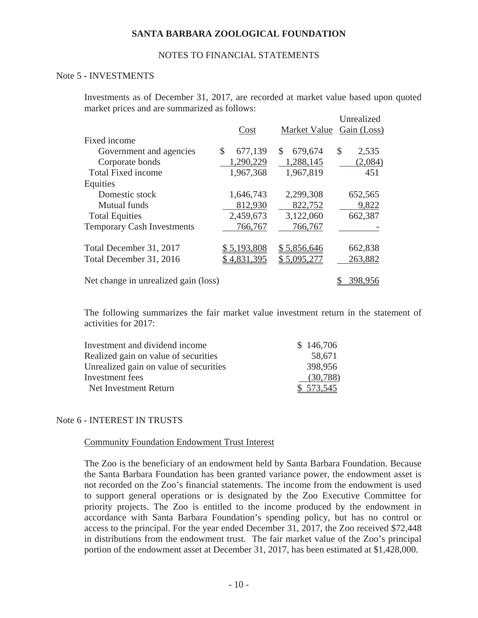#### NOTES TO FINANCIAL STATEMENTS

#### Note 5 **-** INVESTMENTS

Investments as of December 31, 2017, are recorded at market value based upon quoted market prices and are summarized as follows:

|                                      |               |              | Unrealized             |
|--------------------------------------|---------------|--------------|------------------------|
|                                      | Cost          | Market Value | Gain (Loss)            |
| Fixed income                         |               |              |                        |
| Government and agencies              | \$<br>677,139 | S<br>679,674 | $\mathcal{S}$<br>2,535 |
| Corporate bonds                      | 1,290,229     | 1,288,145    | (2,084)                |
| <b>Total Fixed income</b>            | 1,967,368     | 1,967,819    | 451                    |
| Equities                             |               |              |                        |
| Domestic stock                       | 1,646,743     | 2,299,308    | 652,565                |
| <b>Mutual funds</b>                  | 812,930       | 822,752      | 9,822                  |
| <b>Total Equities</b>                | 2,459,673     | 3,122,060    | 662,387                |
| <b>Temporary Cash Investments</b>    | 766,767       | 766,767      |                        |
|                                      |               |              |                        |
| Total December 31, 2017              | \$5,193,808   | \$5,856,646  | 662,838                |
| Total December 31, 2016              | \$4,831,395   | \$5,095,277  | 263,882                |
|                                      |               |              |                        |
| Net change in unrealized gain (loss) |               |              | 398,956                |

The following summarizes the fair market value investment return in the statement of activities for 2017:

| Investment and dividend income         | \$146,706 |
|----------------------------------------|-----------|
| Realized gain on value of securities   | 58,671    |
| Unrealized gain on value of securities | 398,956   |
| Investment fees                        | (30, 788) |
| Net Investment Return                  | \$573,545 |

### Note 6 - INTEREST IN TRUSTS

#### Community Foundation Endowment Trust Interest

The Zoo is the beneficiary of an endowment held by Santa Barbara Foundation. Because the Santa Barbara Foundation has been granted variance power, the endowment asset is not recorded on the Zoo's financial statements. The income from the endowment is used to support general operations or is designated by the Zoo Executive Committee for priority projects. The Zoo is entitled to the income produced by the endowment in accordance with Santa Barbara Foundation's spending policy, but has no control or access to the principal. For the year ended December 31, 2017, the Zoo received \$72,448 in distributions from the endowment trust. The fair market value of the Zoo's principal portion of the endowment asset at December 31, 2017, has been estimated at \$1,428,000.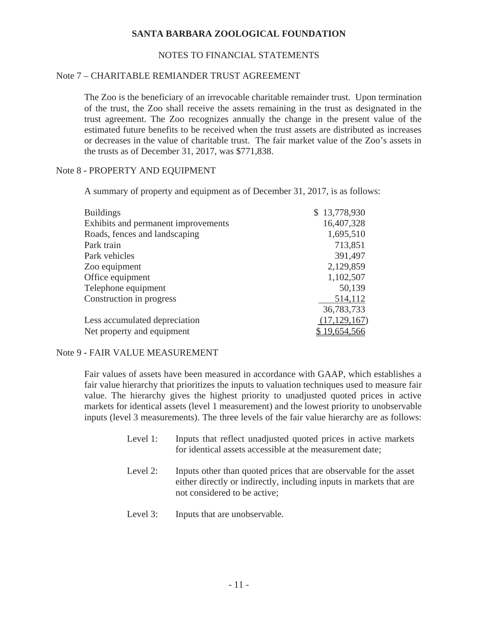# NOTES TO FINANCIAL STATEMENTS

#### Note 7 – CHARITABLE REMIANDER TRUST AGREEMENT

The Zoo is the beneficiary of an irrevocable charitable remainder trust. Upon termination of the trust, the Zoo shall receive the assets remaining in the trust as designated in the trust agreement. The Zoo recognizes annually the change in the present value of the estimated future benefits to be received when the trust assets are distributed as increases or decreases in the value of charitable trust. The fair market value of the Zoo's assets in the trusts as of December 31, 2017, was \$771,838.

#### Note 8 **-** PROPERTY AND EQUIPMENT

A summary of property and equipment as of December 31, 2017, is as follows:

| <b>Buildings</b>                    | \$13,778,930   |
|-------------------------------------|----------------|
| Exhibits and permanent improvements | 16,407,328     |
| Roads, fences and landscaping       | 1,695,510      |
| Park train                          | 713,851        |
| Park vehicles                       | 391,497        |
| Zoo equipment                       | 2,129,859      |
| Office equipment                    | 1,102,507      |
| Telephone equipment                 | 50,139         |
| Construction in progress            | 514,112        |
|                                     | 36,783,733     |
| Less accumulated depreciation       | (17, 129, 167) |
| Net property and equipment          | \$19,654,566   |

### Note 9 **-** FAIR VALUE MEASUREMENT

Fair values of assets have been measured in accordance with GAAP, which establishes a fair value hierarchy that prioritizes the inputs to valuation techniques used to measure fair value. The hierarchy gives the highest priority to unadjusted quoted prices in active markets for identical assets (level 1 measurement) and the lowest priority to unobservable inputs (level 3 measurements). The three levels of the fair value hierarchy are as follows:

- Level 1: Inputs that reflect unadjusted quoted prices in active markets for identical assets accessible at the measurement date;
- Level 2: Inputs other than quoted prices that are observable for the asset either directly or indirectly, including inputs in markets that are not considered to be active;
- Level 3: Inputs that are unobservable.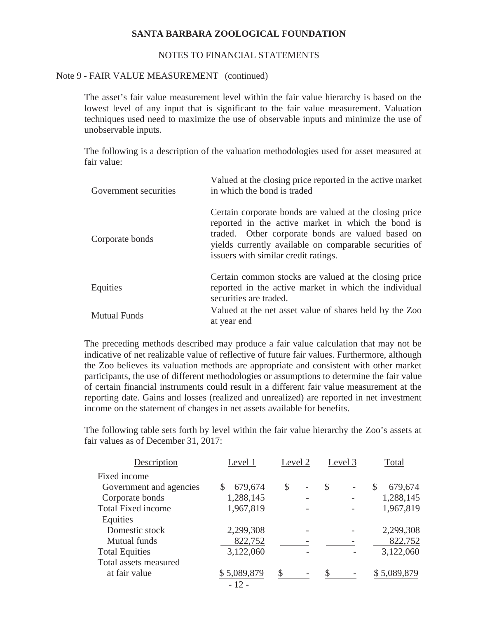#### NOTES TO FINANCIAL STATEMENTS

#### Note 9 **-** FAIR VALUE MEASUREMENT (continued)

The asset's fair value measurement level within the fair value hierarchy is based on the lowest level of any input that is significant to the fair value measurement. Valuation techniques used need to maximize the use of observable inputs and minimize the use of unobservable inputs.

The following is a description of the valuation methodologies used for asset measured at fair value:

| Government securities | Valued at the closing price reported in the active market<br>in which the bond is traded                                                                                                                                                                             |
|-----------------------|----------------------------------------------------------------------------------------------------------------------------------------------------------------------------------------------------------------------------------------------------------------------|
| Corporate bonds       | Certain corporate bonds are valued at the closing price<br>reported in the active market in which the bond is<br>traded. Other corporate bonds are valued based on<br>yields currently available on comparable securities of<br>issuers with similar credit ratings. |
| Equities              | Certain common stocks are valued at the closing price<br>reported in the active market in which the individual<br>securities are traded.                                                                                                                             |
| <b>Mutual Funds</b>   | Valued at the net asset value of shares held by the Zoo<br>at year end                                                                                                                                                                                               |

The preceding methods described may produce a fair value calculation that may not be indicative of net realizable value of reflective of future fair values. Furthermore, although the Zoo believes its valuation methods are appropriate and consistent with other market participants, the use of different methodologies or assumptions to determine the fair value of certain financial instruments could result in a different fair value measurement at the reporting date. Gains and losses (realized and unrealized) are reported in net investment income on the statement of changes in net assets available for benefits.

The following table sets forth by level within the fair value hierarchy the Zoo's assets at fair values as of December 31, 2017:

| Description               | Level 2<br>Level 1 |    | Level 3 | Total        |  |
|---------------------------|--------------------|----|---------|--------------|--|
| Fixed income              |                    |    |         |              |  |
| Government and agencies   | 679,674            | \$ | \$      | 679,674<br>S |  |
| Corporate bonds           | 1,288,145          |    |         | 1,288,145    |  |
| <b>Total Fixed income</b> | 1,967,819          |    |         | 1,967,819    |  |
| Equities                  |                    |    |         |              |  |
| Domestic stock            | 2,299,308          |    |         | 2,299,308    |  |
| Mutual funds              | 822,752            |    |         | 822,752      |  |
| <b>Total Equities</b>     | 3,122,060          |    |         | 3,122,060    |  |
| Total assets measured     |                    |    |         |              |  |
| at fair value             | \$5,089,879        | \$ |         | \$5,089,879  |  |
|                           | $-12-$             |    |         |              |  |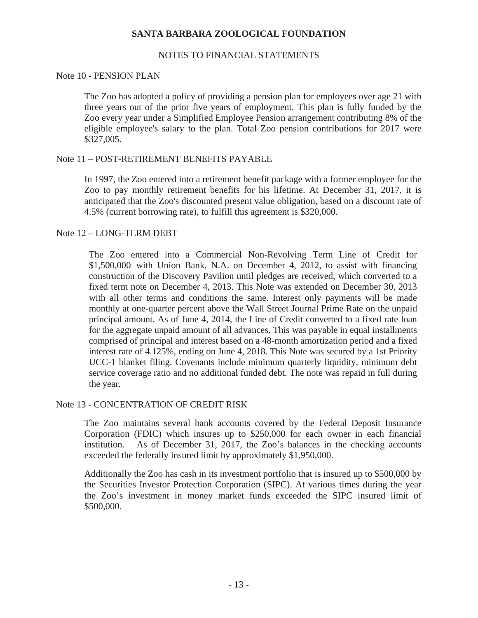### NOTES TO FINANCIAL STATEMENTS

#### Note 10 **-** PENSION PLAN

The Zoo has adopted a policy of providing a pension plan for employees over age 21 with three years out of the prior five years of employment. This plan is fully funded by the Zoo every year under a Simplified Employee Pension arrangement contributing 8% of the eligible employee's salary to the plan. Total Zoo pension contributions for 2017 were \$327,005.

# Note 11 – POST-RETIREMENT BENEFITS PAYABLE

In 1997, the Zoo entered into a retirement benefit package with a former employee for the Zoo to pay monthly retirement benefits for his lifetime. At December 31, 2017, it is anticipated that the Zoo's discounted present value obligation, based on a discount rate of 4.5% (current borrowing rate), to fulfill this agreement is \$320,000.

### Note 12 – LONG-TERM DEBT

The Zoo entered into a Commercial Non-Revolving Term Line of Credit for \$1,500,000 with Union Bank, N.A. on December 4, 2012, to assist with financing construction of the Discovery Pavilion until pledges are received, which converted to a fixed term note on December 4, 2013. This Note was extended on December 30, 2013 with all other terms and conditions the same. Interest only payments will be made monthly at one-quarter percent above the Wall Street Journal Prime Rate on the unpaid principal amount. As of June 4, 2014, the Line of Credit converted to a fixed rate loan for the aggregate unpaid amount of all advances. This was payable in equal installments comprised of principal and interest based on a 48-month amortization period and a fixed interest rate of 4.125%, ending on June 4, 2018. This Note was secured by a 1st Priority UCC-1 blanket filing. Covenants include minimum quarterly liquidity, minimum debt service coverage ratio and no additional funded debt. The note was repaid in full during the year.

### Note 13 - CONCENTRATION OF CREDIT RISK

The Zoo maintains several bank accounts covered by the Federal Deposit Insurance Corporation (FDIC) which insures up to \$250,000 for each owner in each financial institution. As of December 31, 2017, the Zoo's balances in the checking accounts exceeded the federally insured limit by approximately \$1,950,000.

Additionally the Zoo has cash in its investment portfolio that is insured up to \$500,000 by the Securities Investor Protection Corporation (SIPC). At various times during the year the Zoo's investment in money market funds exceeded the SIPC insured limit of \$500,000.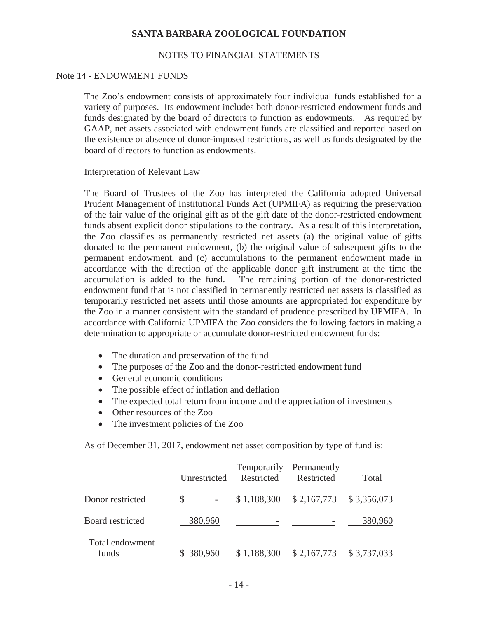#### NOTES TO FINANCIAL STATEMENTS

#### Note 14 **-** ENDOWMENT FUNDS

The Zoo's endowment consists of approximately four individual funds established for a variety of purposes. Its endowment includes both donor-restricted endowment funds and funds designated by the board of directors to function as endowments. As required by GAAP, net assets associated with endowment funds are classified and reported based on the existence or absence of donor-imposed restrictions, as well as funds designated by the board of directors to function as endowments.

#### Interpretation of Relevant Law

The Board of Trustees of the Zoo has interpreted the California adopted Universal Prudent Management of Institutional Funds Act (UPMIFA) as requiring the preservation of the fair value of the original gift as of the gift date of the donor-restricted endowment funds absent explicit donor stipulations to the contrary. As a result of this interpretation, the Zoo classifies as permanently restricted net assets (a) the original value of gifts donated to the permanent endowment, (b) the original value of subsequent gifts to the permanent endowment, and (c) accumulations to the permanent endowment made in accordance with the direction of the applicable donor gift instrument at the time the accumulation is added to the fund. The remaining portion of the donor-restricted endowment fund that is not classified in permanently restricted net assets is classified as temporarily restricted net assets until those amounts are appropriated for expenditure by the Zoo in a manner consistent with the standard of prudence prescribed by UPMIFA. In accordance with California UPMIFA the Zoo considers the following factors in making a determination to appropriate or accumulate donor-restricted endowment funds:

- The duration and preservation of the fund
- The purposes of the Zoo and the donor-restricted endowment fund
- General economic conditions
- The possible effect of inflation and deflation
- The expected total return from income and the appreciation of investments
- Other resources of the Zoo
- The investment policies of the Zoo

As of December 31, 2017, endowment net asset composition by type of fund is:

|                          | Unrestricted | Temporarily<br>Restricted | Permanently<br>Restricted | Total       |
|--------------------------|--------------|---------------------------|---------------------------|-------------|
| Donor restricted         | \$           | \$1,188,300               | $$2,167,773$ $$3,356,073$ |             |
| Board restricted         | 380,960      |                           |                           | 380,960     |
| Total endowment<br>funds | 380,960      | \$1,188,300               | \$2,167,773               | \$3,737,033 |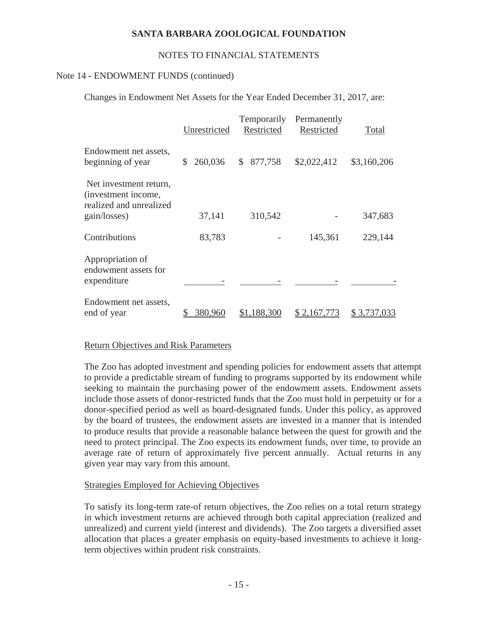# NOTES TO FINANCIAL STATEMENTS

# Note 14 **-** ENDOWMENT FUNDS (continued)

Changes in Endowment Net Assets for the Year Ended December 31, 2017, are:

|                                                                          | Unrestricted  | Temporarily<br>Restricted | Permanently<br>Restricted | Total       |
|--------------------------------------------------------------------------|---------------|---------------------------|---------------------------|-------------|
| Endowment net assets,<br>beginning of year                               | \$<br>260,036 | $\mathbb{S}$<br>877,758   | \$2,022,412               | \$3,160,206 |
| Net investment return,<br>(investment income,<br>realized and unrealized |               |                           |                           |             |
| gain/losses)                                                             | 37,141        | 310,542                   |                           | 347,683     |
| Contributions                                                            | 83,783        |                           | 145,361                   | 229,144     |
| Appropriation of<br>endowment assets for<br>expenditure                  |               |                           |                           |             |
| Endowment net assets,<br>end of year                                     | 380,960       | \$1,188,300               | S<br>2,167,7              | \$3,737,033 |

# Return Objectives and Risk Parameters

The Zoo has adopted investment and spending policies for endowment assets that attempt to provide a predictable stream of funding to programs supported by its endowment while seeking to maintain the purchasing power of the endowment assets. Endowment assets include those assets of donor-restricted funds that the Zoo must hold in perpetuity or for a donor-specified period as well as board-designated funds. Under this policy, as approved by the board of trustees, the endowment assets are invested in a manner that is intended to produce results that provide a reasonable balance between the quest for growth and the need to protect principal. The Zoo expects its endowment funds, over time, to provide an average rate of return of approximately five percent annually. Actual returns in any given year may vary from this amount.

# Strategies Employed for Achieving Objectives

To satisfy its long-term rate-of return objectives, the Zoo relies on a total return strategy in which investment returns are achieved through both capital appreciation (realized and unrealized) and current yield (interest and dividends). The Zoo targets a diversified asset allocation that places a greater emphasis on equity-based investments to achieve it longterm objectives within prudent risk constraints.